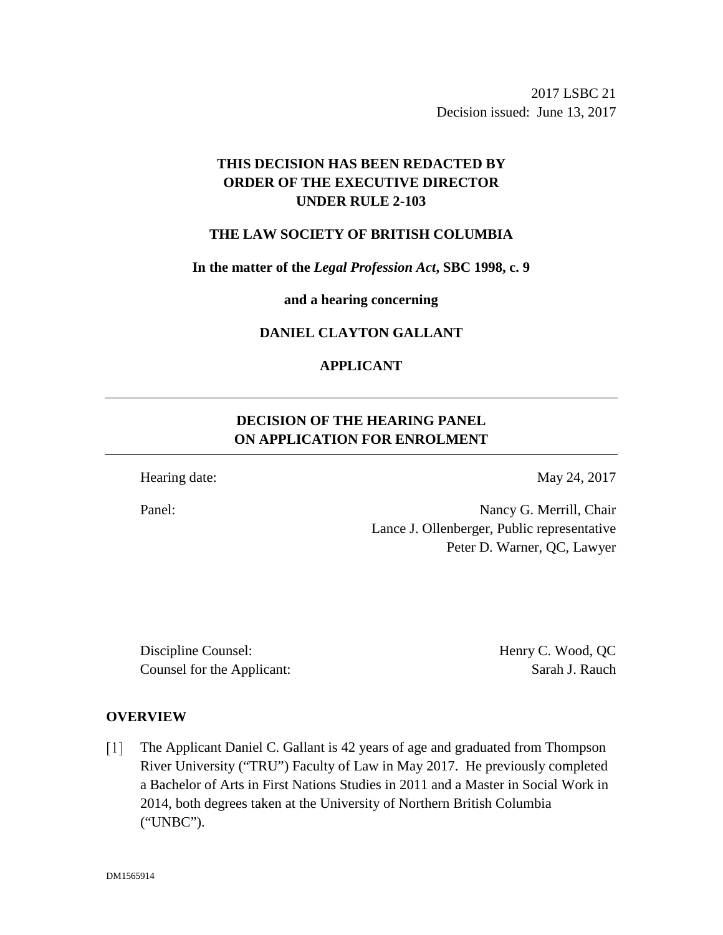2017 LSBC 21 Decision issued: June 13, 2017

# **THIS DECISION HAS BEEN REDACTED BY ORDER OF THE EXECUTIVE DIRECTOR UNDER RULE 2-103**

### **THE LAW SOCIETY OF BRITISH COLUMBIA**

**In the matter of the** *Legal Profession Act***, SBC 1998, c. 9** 

**and a hearing concerning**

### **DANIEL CLAYTON GALLANT**

## **APPLICANT**

# **DECISION OF THE HEARING PANEL ON APPLICATION FOR ENROLMENT**

Hearing date: May 24, 2017

Panel: Nancy G. Merrill, Chair Lance J. Ollenberger, Public representative Peter D. Warner, QC, Lawyer

Discipline Counsel: Henry C. Wood, QC Counsel for the Applicant: Sarah J. Rauch

#### **OVERVIEW**

The Applicant Daniel C. Gallant is 42 years of age and graduated from Thompson  $\lceil 1 \rceil$ River University ("TRU") Faculty of Law in May 2017. He previously completed a Bachelor of Arts in First Nations Studies in 2011 and a Master in Social Work in 2014, both degrees taken at the University of Northern British Columbia ("UNBC").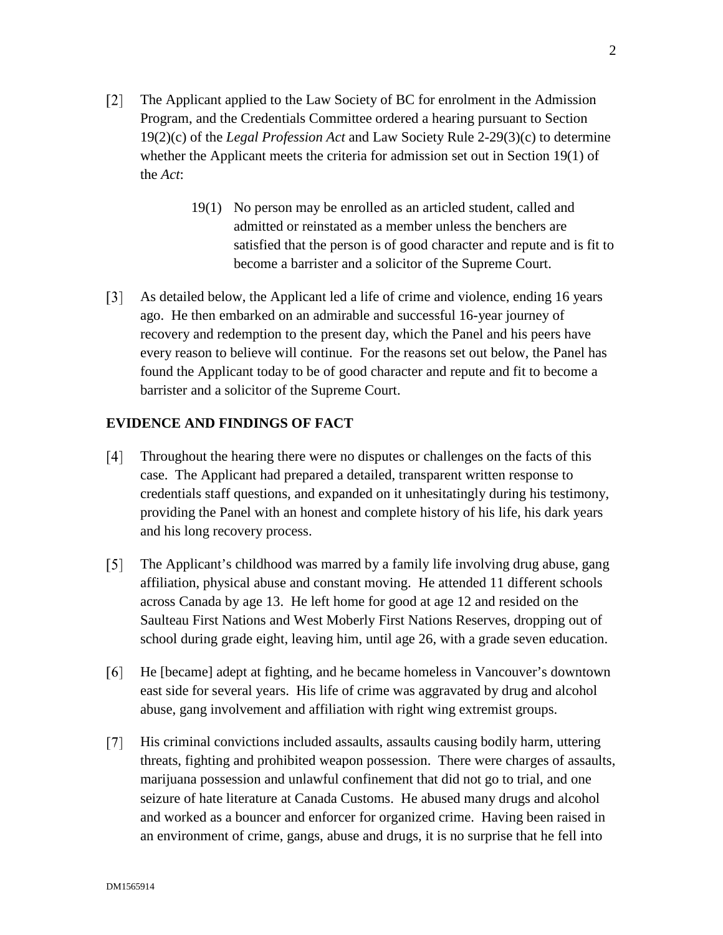- $\lceil 2 \rceil$ The Applicant applied to the Law Society of BC for enrolment in the Admission Program, and the Credentials Committee ordered a hearing pursuant to Section 19(2)(c) of the *Legal Profession Act* and Law Society Rule 2-29(3)(c) to determine whether the Applicant meets the criteria for admission set out in Section 19(1) of the *Act*:
	- 19(1) No person may be enrolled as an articled student, called and admitted or reinstated as a member unless the benchers are satisfied that the person is of good character and repute and is fit to become a barrister and a solicitor of the Supreme Court.
- $\lceil 3 \rceil$ As detailed below, the Applicant led a life of crime and violence, ending 16 years ago. He then embarked on an admirable and successful 16-year journey of recovery and redemption to the present day, which the Panel and his peers have every reason to believe will continue. For the reasons set out below, the Panel has found the Applicant today to be of good character and repute and fit to become a barrister and a solicitor of the Supreme Court.

### **EVIDENCE AND FINDINGS OF FACT**

- Throughout the hearing there were no disputes or challenges on the facts of this  $\lceil 4 \rceil$ case. The Applicant had prepared a detailed, transparent written response to credentials staff questions, and expanded on it unhesitatingly during his testimony, providing the Panel with an honest and complete history of his life, his dark years and his long recovery process.
- $\lceil 5 \rceil$ The Applicant's childhood was marred by a family life involving drug abuse, gang affiliation, physical abuse and constant moving. He attended 11 different schools across Canada by age 13. He left home for good at age 12 and resided on the Saulteau First Nations and West Moberly First Nations Reserves, dropping out of school during grade eight, leaving him, until age 26, with a grade seven education.
- $[6]$ He [became] adept at fighting, and he became homeless in Vancouver's downtown east side for several years. His life of crime was aggravated by drug and alcohol abuse, gang involvement and affiliation with right wing extremist groups.
- His criminal convictions included assaults, assaults causing bodily harm, uttering  $\lceil 7 \rceil$ threats, fighting and prohibited weapon possession. There were charges of assaults, marijuana possession and unlawful confinement that did not go to trial, and one seizure of hate literature at Canada Customs. He abused many drugs and alcohol and worked as a bouncer and enforcer for organized crime. Having been raised in an environment of crime, gangs, abuse and drugs, it is no surprise that he fell into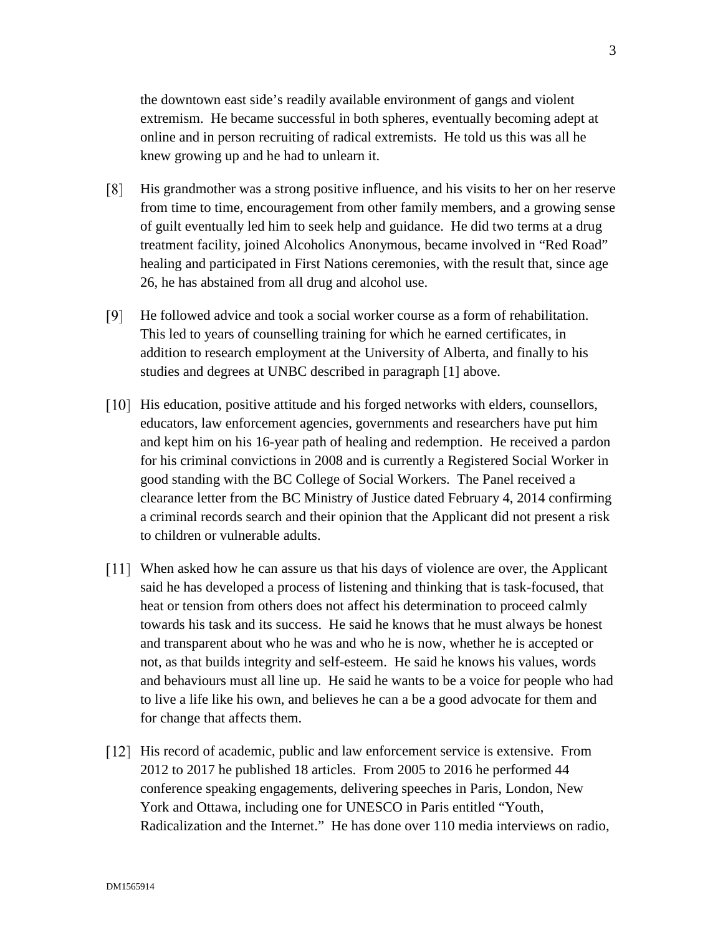the downtown east side's readily available environment of gangs and violent extremism. He became successful in both spheres, eventually becoming adept at online and in person recruiting of radical extremists. He told us this was all he knew growing up and he had to unlearn it.

- His grandmother was a strong positive influence, and his visits to her on her reserve  $\lceil 8 \rceil$ from time to time, encouragement from other family members, and a growing sense of guilt eventually led him to seek help and guidance. He did two terms at a drug treatment facility, joined Alcoholics Anonymous, became involved in "Red Road" healing and participated in First Nations ceremonies, with the result that, since age 26, he has abstained from all drug and alcohol use.
- $[9]$ He followed advice and took a social worker course as a form of rehabilitation. This led to years of counselling training for which he earned certificates, in addition to research employment at the University of Alberta, and finally to his studies and degrees at UNBC described in paragraph [1] above.
- [10] His education, positive attitude and his forged networks with elders, counsellors, educators, law enforcement agencies, governments and researchers have put him and kept him on his 16-year path of healing and redemption. He received a pardon for his criminal convictions in 2008 and is currently a Registered Social Worker in good standing with the BC College of Social Workers. The Panel received a clearance letter from the BC Ministry of Justice dated February 4, 2014 confirming a criminal records search and their opinion that the Applicant did not present a risk to children or vulnerable adults.
- [11] When asked how he can assure us that his days of violence are over, the Applicant said he has developed a process of listening and thinking that is task-focused, that heat or tension from others does not affect his determination to proceed calmly towards his task and its success. He said he knows that he must always be honest and transparent about who he was and who he is now, whether he is accepted or not, as that builds integrity and self-esteem. He said he knows his values, words and behaviours must all line up. He said he wants to be a voice for people who had to live a life like his own, and believes he can a be a good advocate for them and for change that affects them.
- [12] His record of academic, public and law enforcement service is extensive. From 2012 to 2017 he published 18 articles. From 2005 to 2016 he performed 44 conference speaking engagements, delivering speeches in Paris, London, New York and Ottawa, including one for UNESCO in Paris entitled "Youth, Radicalization and the Internet." He has done over 110 media interviews on radio,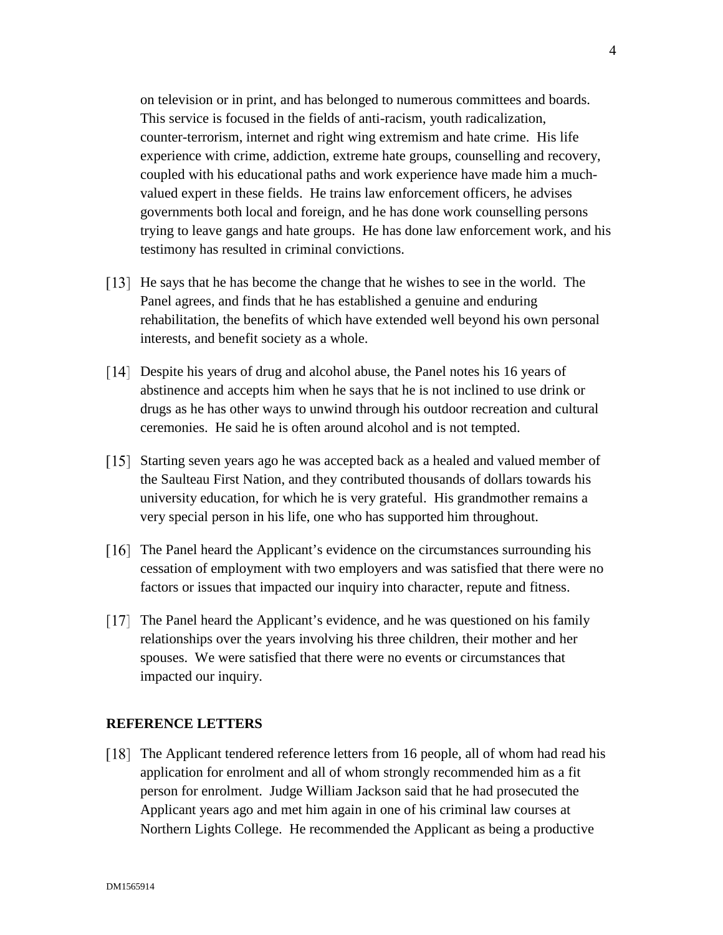on television or in print, and has belonged to numerous committees and boards. This service is focused in the fields of anti-racism, youth radicalization, counter-terrorism, internet and right wing extremism and hate crime. His life experience with crime, addiction, extreme hate groups, counselling and recovery, coupled with his educational paths and work experience have made him a muchvalued expert in these fields. He trains law enforcement officers, he advises governments both local and foreign, and he has done work counselling persons trying to leave gangs and hate groups. He has done law enforcement work, and his testimony has resulted in criminal convictions.

- He says that he has become the change that he wishes to see in the world. The Panel agrees, and finds that he has established a genuine and enduring rehabilitation, the benefits of which have extended well beyond his own personal interests, and benefit society as a whole.
- [14] Despite his years of drug and alcohol abuse, the Panel notes his 16 years of abstinence and accepts him when he says that he is not inclined to use drink or drugs as he has other ways to unwind through his outdoor recreation and cultural ceremonies. He said he is often around alcohol and is not tempted.
- [15] Starting seven years ago he was accepted back as a healed and valued member of the Saulteau First Nation, and they contributed thousands of dollars towards his university education, for which he is very grateful. His grandmother remains a very special person in his life, one who has supported him throughout.
- [16] The Panel heard the Applicant's evidence on the circumstances surrounding his cessation of employment with two employers and was satisfied that there were no factors or issues that impacted our inquiry into character, repute and fitness.
- The Panel heard the Applicant's evidence, and he was questioned on his family relationships over the years involving his three children, their mother and her spouses. We were satisfied that there were no events or circumstances that impacted our inquiry.

#### **REFERENCE LETTERS**

The Applicant tendered reference letters from 16 people, all of whom had read his application for enrolment and all of whom strongly recommended him as a fit person for enrolment. Judge William Jackson said that he had prosecuted the Applicant years ago and met him again in one of his criminal law courses at Northern Lights College. He recommended the Applicant as being a productive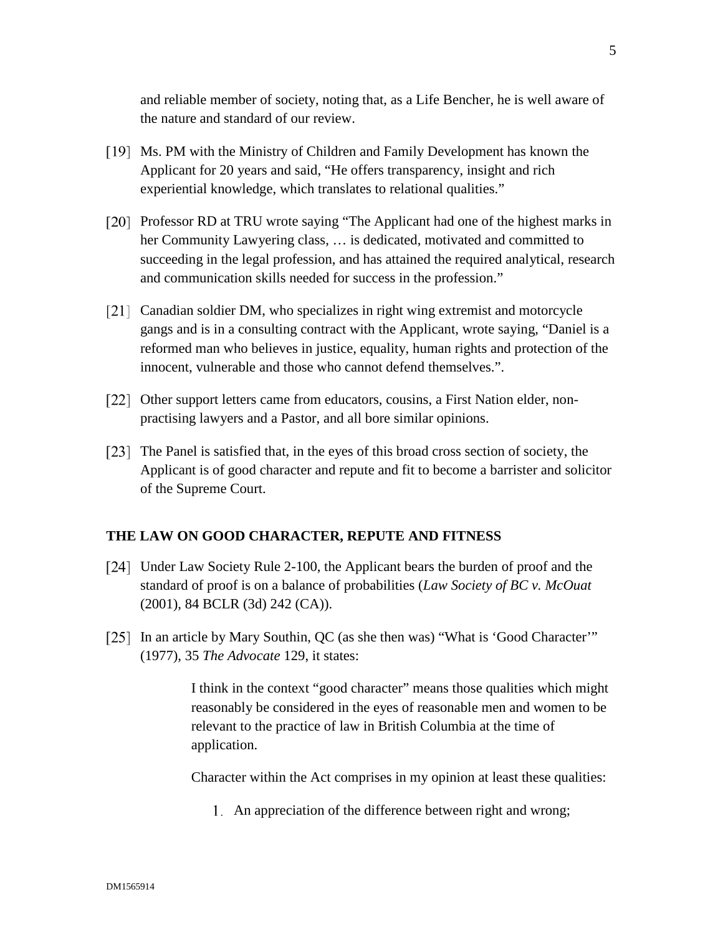and reliable member of society, noting that, as a Life Bencher, he is well aware of the nature and standard of our review.

- Ms. PM with the Ministry of Children and Family Development has known the Applicant for 20 years and said, "He offers transparency, insight and rich experiential knowledge, which translates to relational qualities."
- [20] Professor RD at TRU wrote saying "The Applicant had one of the highest marks in her Community Lawyering class, … is dedicated, motivated and committed to succeeding in the legal profession, and has attained the required analytical, research and communication skills needed for success in the profession."
- [21] Canadian soldier DM, who specializes in right wing extremist and motorcycle gangs and is in a consulting contract with the Applicant, wrote saying, "Daniel is a reformed man who believes in justice, equality, human rights and protection of the innocent, vulnerable and those who cannot defend themselves.".
- [22] Other support letters came from educators, cousins, a First Nation elder, nonpractising lawyers and a Pastor, and all bore similar opinions.
- The Panel is satisfied that, in the eyes of this broad cross section of society, the Applicant is of good character and repute and fit to become a barrister and solicitor of the Supreme Court.

## **THE LAW ON GOOD CHARACTER, REPUTE AND FITNESS**

- [24] Under Law Society Rule 2-100, the Applicant bears the burden of proof and the standard of proof is on a balance of probabilities (*Law Society of BC v. McOuat*  (2001), 84 BCLR (3d) 242 (CA)).
- [25] In an article by Mary Southin, QC (as she then was) "What is 'Good Character'" (1977), 35 *The Advocate* 129, it states:

I think in the context "good character" means those qualities which might reasonably be considered in the eyes of reasonable men and women to be relevant to the practice of law in British Columbia at the time of application.

Character within the Act comprises in my opinion at least these qualities:

An appreciation of the difference between right and wrong;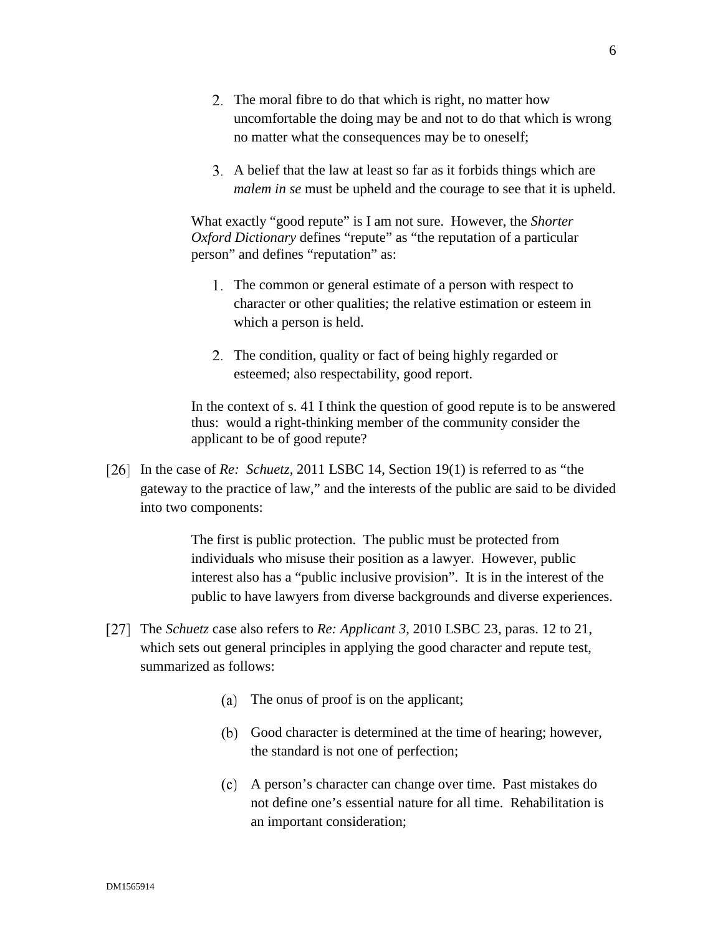- 2. The moral fibre to do that which is right, no matter how uncomfortable the doing may be and not to do that which is wrong no matter what the consequences may be to oneself;
- A belief that the law at least so far as it forbids things which are *malem in se* must be upheld and the courage to see that it is upheld.

What exactly "good repute" is I am not sure. However, the *Shorter Oxford Dictionary defines "repute"* as "the reputation of a particular person" and defines "reputation" as:

- 1. The common or general estimate of a person with respect to character or other qualities; the relative estimation or esteem in which a person is held.
- 2. The condition, quality or fact of being highly regarded or esteemed; also respectability, good report.

In the context of s. 41 I think the question of good repute is to be answered thus: would a right-thinking member of the community consider the applicant to be of good repute?

In the case of *Re: Schuetz,* 2011 LSBC 14, Section 19(1) is referred to as "the gateway to the practice of law," and the interests of the public are said to be divided into two components:

> The first is public protection. The public must be protected from individuals who misuse their position as a lawyer. However, public interest also has a "public inclusive provision". It is in the interest of the public to have lawyers from diverse backgrounds and diverse experiences.

- The *Schuetz* case also refers to *Re: Applicant 3*, 2010 LSBC 23, paras. 12 to 21, which sets out general principles in applying the good character and repute test, summarized as follows:
	- (a) The onus of proof is on the applicant;
	- (b) Good character is determined at the time of hearing; however, the standard is not one of perfection;
	- A person's character can change over time. Past mistakes do not define one's essential nature for all time. Rehabilitation is an important consideration;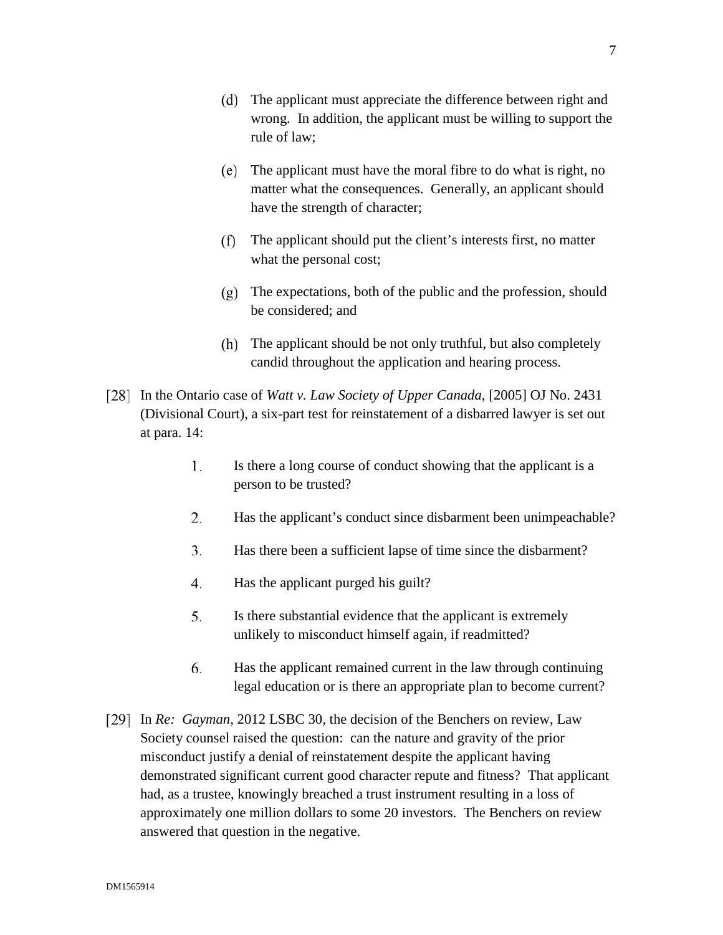- The applicant must appreciate the difference between right and wrong. In addition, the applicant must be willing to support the rule of law;
- The applicant must have the moral fibre to do what is right, no matter what the consequences. Generally, an applicant should have the strength of character;
- The applicant should put the client's interests first, no matter what the personal cost;
- The expectations, both of the public and the profession, should be considered; and
- (h) The applicant should be not only truthful, but also completely candid throughout the application and hearing process.
- In the Ontario case of *Watt v. Law Society of Upper Canada*, [2005] OJ No. 2431 (Divisional Court), a six-part test for reinstatement of a disbarred lawyer is set out at para. 14:
	- 1. Is there a long course of conduct showing that the applicant is a person to be trusted?
	- 2. Has the applicant's conduct since disbarment been unimpeachable?
	- $3.$ Has there been a sufficient lapse of time since the disbarment?
	- 4. Has the applicant purged his guilt?
	- 5. Is there substantial evidence that the applicant is extremely unlikely to misconduct himself again, if readmitted?
	- 6. Has the applicant remained current in the law through continuing legal education or is there an appropriate plan to become current?
- In *Re: Gayman*, 2012 LSBC 30, the decision of the Benchers on review, Law Society counsel raised the question: can the nature and gravity of the prior misconduct justify a denial of reinstatement despite the applicant having demonstrated significant current good character repute and fitness? That applicant had, as a trustee, knowingly breached a trust instrument resulting in a loss of approximately one million dollars to some 20 investors. The Benchers on review answered that question in the negative.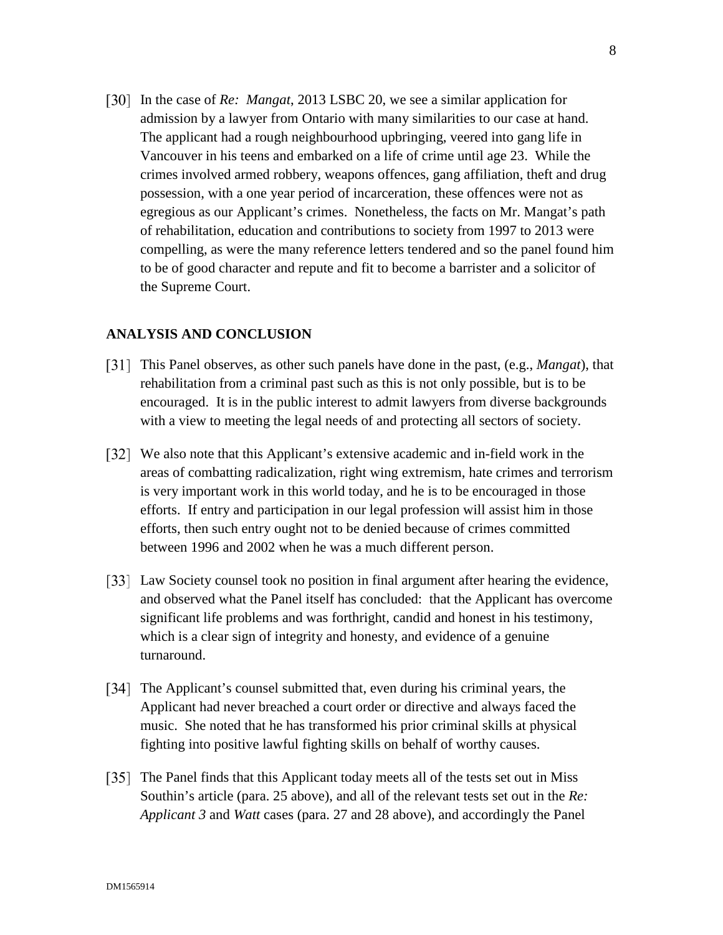In the case of *Re: Mangat*, 2013 LSBC 20, we see a similar application for admission by a lawyer from Ontario with many similarities to our case at hand. The applicant had a rough neighbourhood upbringing, veered into gang life in Vancouver in his teens and embarked on a life of crime until age 23. While the crimes involved armed robbery, weapons offences, gang affiliation, theft and drug possession, with a one year period of incarceration, these offences were not as egregious as our Applicant's crimes. Nonetheless, the facts on Mr. Mangat's path of rehabilitation, education and contributions to society from 1997 to 2013 were compelling, as were the many reference letters tendered and so the panel found him to be of good character and repute and fit to become a barrister and a solicitor of the Supreme Court.

#### **ANALYSIS AND CONCLUSION**

- This Panel observes, as other such panels have done in the past, (e.g., *Mangat*), that rehabilitation from a criminal past such as this is not only possible, but is to be encouraged. It is in the public interest to admit lawyers from diverse backgrounds with a view to meeting the legal needs of and protecting all sectors of society.
- [32] We also note that this Applicant's extensive academic and in-field work in the areas of combatting radicalization, right wing extremism, hate crimes and terrorism is very important work in this world today, and he is to be encouraged in those efforts. If entry and participation in our legal profession will assist him in those efforts, then such entry ought not to be denied because of crimes committed between 1996 and 2002 when he was a much different person.
- Law Society counsel took no position in final argument after hearing the evidence, and observed what the Panel itself has concluded: that the Applicant has overcome significant life problems and was forthright, candid and honest in his testimony, which is a clear sign of integrity and honesty, and evidence of a genuine turnaround.
- [34] The Applicant's counsel submitted that, even during his criminal years, the Applicant had never breached a court order or directive and always faced the music. She noted that he has transformed his prior criminal skills at physical fighting into positive lawful fighting skills on behalf of worthy causes.
- [35] The Panel finds that this Applicant today meets all of the tests set out in Miss Southin's article (para. 25 above), and all of the relevant tests set out in the *Re: Applicant 3* and *Watt* cases (para. 27 and 28 above), and accordingly the Panel